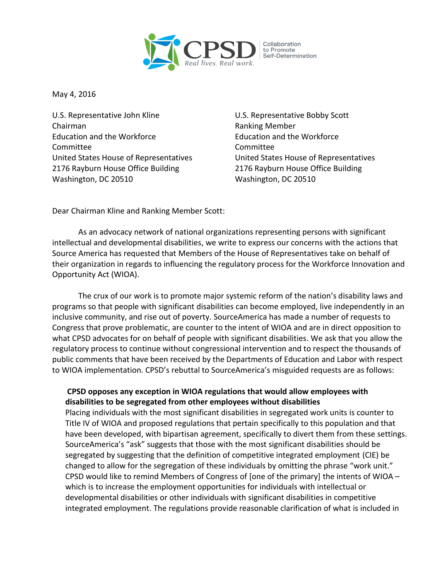

May 4, 2016

U.S. Representative John Kline U.S. Representative Bobby Scott Chairman **Ranking Member** Ranking Member Education and the Workforce Education and the Workforce Committee Committee 2176 Rayburn House Office Building 2176 Rayburn House Office Building Washington, DC 20510 Washington, DC 20510

United States House of Representatives United States House of Representatives

Dear Chairman Kline and Ranking Member Scott:

As an advocacy network of national organizations representing persons with significant intellectual and developmental disabilities, we write to express our concerns with the actions that Source America has requested that Members of the House of Representatives take on behalf of their organization in regards to influencing the regulatory process for the Workforce Innovation and Opportunity Act (WIOA).

The crux of our work is to promote major systemic reform of the nation's disability laws and programs so that people with significant disabilities can become employed, live independently in an inclusive community, and rise out of poverty. SourceAmerica has made a number of requests to Congress that prove problematic, are counter to the intent of WIOA and are in direct opposition to what CPSD advocates for on behalf of people with significant disabilities. We ask that you allow the regulatory process to continue without congressional intervention and to respect the thousands of public comments that have been received by the Departments of Education and Labor with respect to WIOA implementation. CPSD's rebuttal to SourceAmerica's misguided requests are as follows:

## **CPSD opposes any exception in WIOA regulations that would allow employees with disabilities to be segregated from other employees without disabilities**

Placing individuals with the most significant disabilities in segregated work units is counter to Title IV of WIOA and proposed regulations that pertain specifically to this population and that have been developed, with bipartisan agreement, specifically to divert them from these settings. SourceAmerica's "ask" suggests that those with the most significant disabilities should be segregated by suggesting that the definition of competitive integrated employment (CIE) be changed to allow for the segregation of these individuals by omitting the phrase "work unit." CPSD would like to remind Members of Congress of [one of the primary] the intents of WIOA – which is to increase the employment opportunities for individuals with intellectual or developmental disabilities or other individuals with significant disabilities in competitive integrated employment. The regulations provide reasonable clarification of what is included in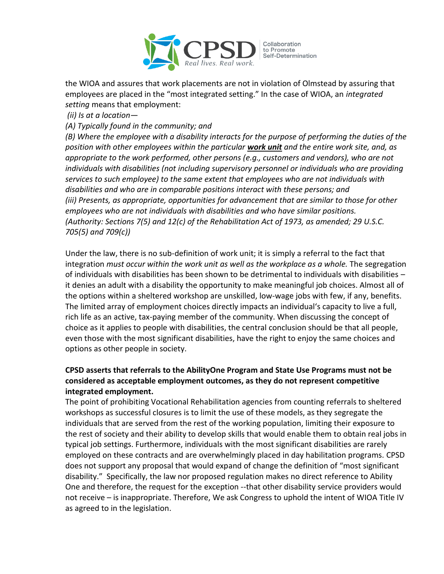

Collaboration to Promote<br>Self-Determination

the WIOA and assures that work placements are not in violation of Olmstead by assuring that employees are placed in the "most integrated setting." In the case of WIOA, an *integrated setting* means that employment:

*(ii) Is at a location—*

*(A) Typically found in the community; and* 

*(B) Where the employee with a disability interacts for the purpose of performing the duties of the position with other employees within the particular work unit and the entire work site, and, as appropriate to the work performed, other persons (e.g., customers and vendors), who are not individuals with disabilities (not including supervisory personnel or individuals who are providing services to such employee) to the same extent that employees who are not individuals with disabilities and who are in comparable positions interact with these persons; and (iii) Presents, as appropriate, opportunities for advancement that are similar to those for other employees who are not individuals with disabilities and who have similar positions. (Authority: Sections 7(5) and 12(c) of the Rehabilitation Act of 1973, as amended; 29 U.S.C. 705(5) and 709(c))* 

Under the law, there is no sub-definition of work unit; it is simply a referral to the fact that integration *must occur within the work unit as well as the workplace as a whole.* The segregation of individuals with disabilities has been shown to be detrimental to individuals with disabilities – it denies an adult with a disability the opportunity to make meaningful job choices. Almost all of the options within a sheltered workshop are unskilled, low-wage jobs with few, if any, benefits. The limited array of employment choices directly impacts an individual's capacity to live a full, rich life as an active, tax-paying member of the community. When discussing the concept of choice as it applies to people with disabilities, the central conclusion should be that all people, even those with the most significant disabilities, have the right to enjoy the same choices and options as other people in society.

## **CPSD asserts that referrals to the AbilityOne Program and State Use Programs must not be considered as acceptable employment outcomes, as they do not represent competitive integrated employment.**

The point of prohibiting Vocational Rehabilitation agencies from counting referrals to sheltered workshops as successful closures is to limit the use of these models, as they segregate the individuals that are served from the rest of the working population, limiting their exposure to the rest of society and their ability to develop skills that would enable them to obtain real jobs in typical job settings. Furthermore, individuals with the most significant disabilities are rarely employed on these contracts and are overwhelmingly placed in day habilitation programs. CPSD does not support any proposal that would expand of change the definition of "most significant disability." Specifically, the law nor proposed regulation makes no direct reference to Ability One and therefore, the request for the exception --that other disability service providers would not receive – is inappropriate. Therefore, We ask Congress to uphold the intent of WIOA Title IV as agreed to in the legislation.